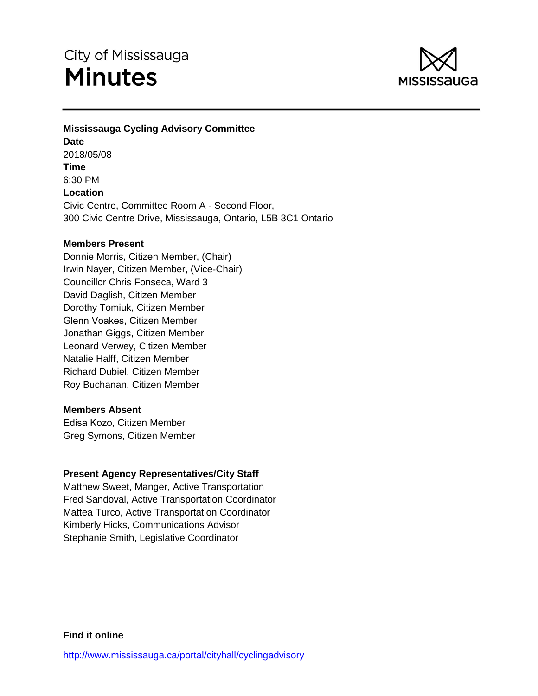# City of Mississauga **Minutes**



# **Mississauga Cycling Advisory Committee Date** 2018/05/08 **Time** 6:30 PM **Location** Civic Centre, Committee Room A - Second Floor, 300 Civic Centre Drive, Mississauga, Ontario, L5B 3C1 Ontario

## **Members Present**

Donnie Morris, Citizen Member, (Chair) Irwin Nayer, Citizen Member, (Vice-Chair) Councillor Chris Fonseca, Ward 3 David Daglish, Citizen Member Dorothy Tomiuk, Citizen Member Glenn Voakes, Citizen Member Jonathan Giggs, Citizen Member Leonard Verwey, Citizen Member Natalie Halff, Citizen Member Richard Dubiel, Citizen Member Roy Buchanan, Citizen Member

## **Members Absent**

Edisa Kozo, Citizen Member Greg Symons, Citizen Member

# **Present Agency Representatives/City Staff**

Matthew Sweet, Manger, Active Transportation Fred Sandoval, Active Transportation Coordinator Mattea Turco, Active Transportation Coordinator Kimberly Hicks, Communications Advisor Stephanie Smith, Legislative Coordinator

**Find it online**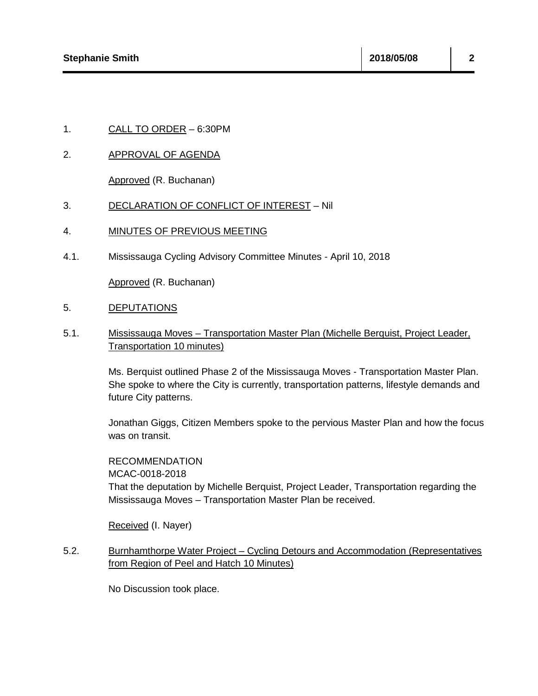## 1. CALL TO ORDER – 6:30PM

### 2. APPROVAL OF AGENDA

Approved (R. Buchanan)

#### 3. DECLARATION OF CONFLICT OF INTEREST – Nil

### 4. MINUTES OF PREVIOUS MEETING

4.1. Mississauga Cycling Advisory Committee Minutes - April 10, 2018

Approved (R. Buchanan)

#### 5. DEPUTATIONS

5.1. Mississauga Moves – Transportation Master Plan (Michelle Berquist, Project Leader, Transportation 10 minutes)

> Ms. Berquist outlined Phase 2 of the Mississauga Moves - Transportation Master Plan. She spoke to where the City is currently, transportation patterns, lifestyle demands and future City patterns.

Jonathan Giggs, Citizen Members spoke to the pervious Master Plan and how the focus was on transit.

RECOMMENDATION MCAC-0018-2018 That the deputation by Michelle Berquist, Project Leader, Transportation regarding the Mississauga Moves – Transportation Master Plan be received.

Received (I. Nayer)

5.2. Burnhamthorpe Water Project – Cycling Detours and Accommodation (Representatives from Region of Peel and Hatch 10 Minutes)

No Discussion took place.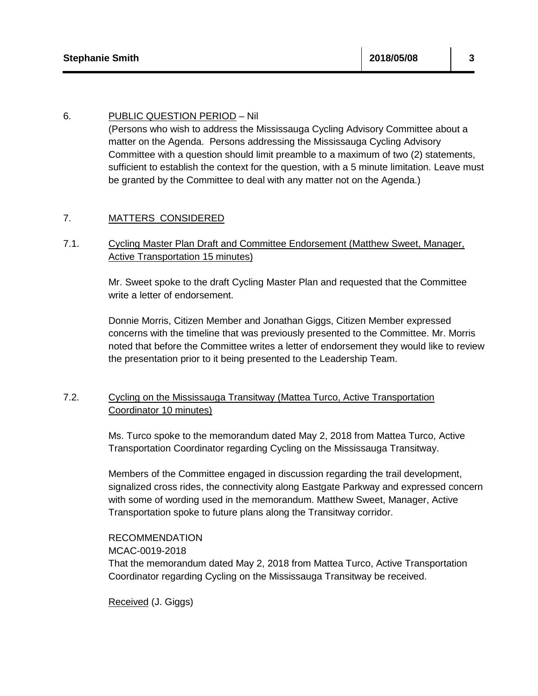## 6. PUBLIC QUESTION PERIOD – Nil

(Persons who wish to address the Mississauga Cycling Advisory Committee about a matter on the Agenda. Persons addressing the Mississauga Cycling Advisory Committee with a question should limit preamble to a maximum of two (2) statements, sufficient to establish the context for the question, with a 5 minute limitation. Leave must be granted by the Committee to deal with any matter not on the Agenda.)

## 7. MATTERS CONSIDERED

## 7.1. Cycling Master Plan Draft and Committee Endorsement (Matthew Sweet, Manager, Active Transportation 15 minutes)

Mr. Sweet spoke to the draft Cycling Master Plan and requested that the Committee write a letter of endorsement.

Donnie Morris, Citizen Member and Jonathan Giggs, Citizen Member expressed concerns with the timeline that was previously presented to the Committee. Mr. Morris noted that before the Committee writes a letter of endorsement they would like to review the presentation prior to it being presented to the Leadership Team.

# 7.2. Cycling on the Mississauga Transitway (Mattea Turco, Active Transportation Coordinator 10 minutes)

Ms. Turco spoke to the memorandum dated May 2, 2018 from Mattea Turco, Active Transportation Coordinator regarding Cycling on the Mississauga Transitway.

Members of the Committee engaged in discussion regarding the trail development, signalized cross rides, the connectivity along Eastgate Parkway and expressed concern with some of wording used in the memorandum. Matthew Sweet, Manager, Active Transportation spoke to future plans along the Transitway corridor.

RECOMMENDATION MCAC-0019-2018 That the memorandum dated May 2, 2018 from Mattea Turco, Active Transportation Coordinator regarding Cycling on the Mississauga Transitway be received.

Received (J. Giggs)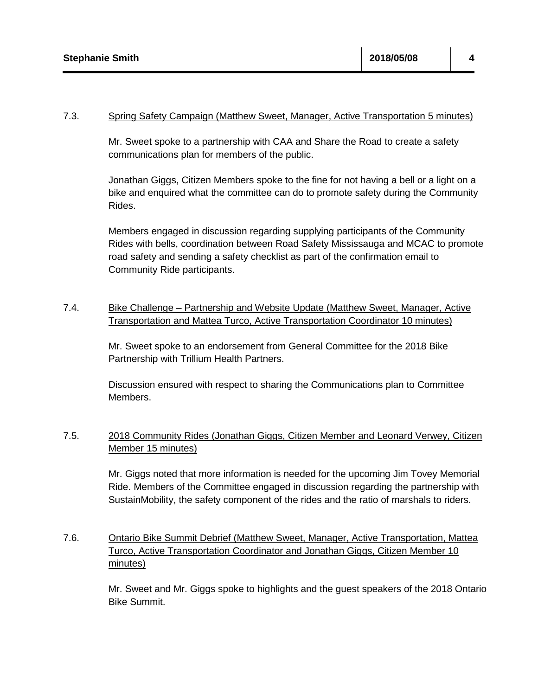### 7.3. Spring Safety Campaign (Matthew Sweet, Manager, Active Transportation 5 minutes)

Mr. Sweet spoke to a partnership with CAA and Share the Road to create a safety communications plan for members of the public.

Jonathan Giggs, Citizen Members spoke to the fine for not having a bell or a light on a bike and enquired what the committee can do to promote safety during the Community Rides.

Members engaged in discussion regarding supplying participants of the Community Rides with bells, coordination between Road Safety Mississauga and MCAC to promote road safety and sending a safety checklist as part of the confirmation email to Community Ride participants.

## 7.4. Bike Challenge – Partnership and Website Update (Matthew Sweet, Manager, Active Transportation and Mattea Turco, Active Transportation Coordinator 10 minutes)

Mr. Sweet spoke to an endorsement from General Committee for the 2018 Bike Partnership with Trillium Health Partners.

Discussion ensured with respect to sharing the Communications plan to Committee Members.

# 7.5. 2018 Community Rides (Jonathan Giggs, Citizen Member and Leonard Verwey, Citizen Member 15 minutes)

Mr. Giggs noted that more information is needed for the upcoming Jim Tovey Memorial Ride. Members of the Committee engaged in discussion regarding the partnership with SustainMobility, the safety component of the rides and the ratio of marshals to riders.

# 7.6. Ontario Bike Summit Debrief (Matthew Sweet, Manager, Active Transportation, Mattea Turco, Active Transportation Coordinator and Jonathan Giggs, Citizen Member 10 minutes)

Mr. Sweet and Mr. Giggs spoke to highlights and the guest speakers of the 2018 Ontario Bike Summit.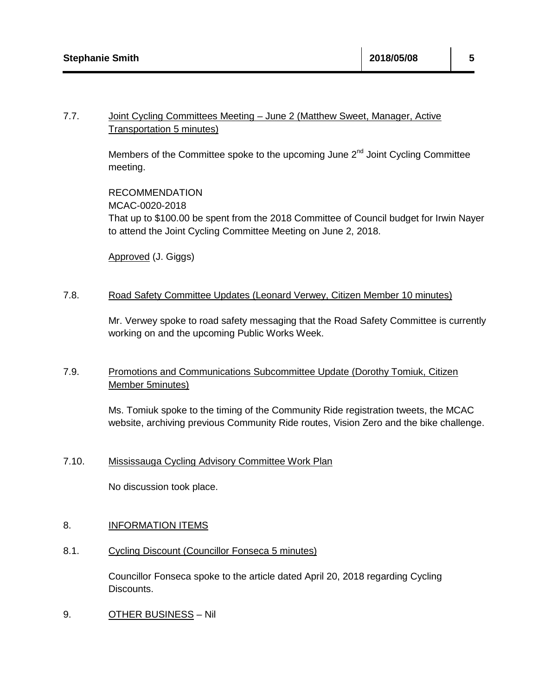# 7.7. Joint Cycling Committees Meeting - June 2 (Matthew Sweet, Manager, Active Transportation 5 minutes)

Members of the Committee spoke to the upcoming June  $2<sup>nd</sup>$  Joint Cycling Committee meeting.

RECOMMENDATION MCAC-0020-2018 That up to \$100.00 be spent from the 2018 Committee of Council budget for Irwin Nayer to attend the Joint Cycling Committee Meeting on June 2, 2018.

Approved (J. Giggs)

## 7.8. Road Safety Committee Updates (Leonard Verwey, Citizen Member 10 minutes)

Mr. Verwey spoke to road safety messaging that the Road Safety Committee is currently working on and the upcoming Public Works Week.

# 7.9. Promotions and Communications Subcommittee Update (Dorothy Tomiuk, Citizen Member 5minutes)

Ms. Tomiuk spoke to the timing of the Community Ride registration tweets, the MCAC website, archiving previous Community Ride routes, Vision Zero and the bike challenge.

# 7.10. Mississauga Cycling Advisory Committee Work Plan

No discussion took place.

# 8. **INFORMATION ITEMS**

8.1. Cycling Discount (Councillor Fonseca 5 minutes)

Councillor Fonseca spoke to the article dated April 20, 2018 regarding Cycling Discounts.

9. OTHER BUSINESS – Nil